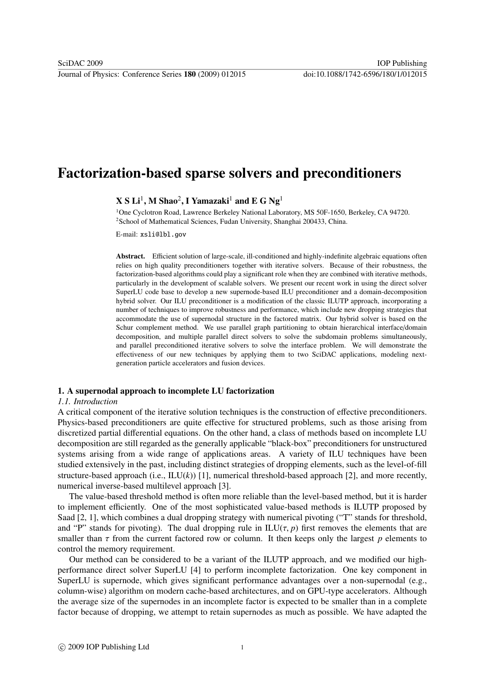# Factorization-based sparse solvers and preconditioners

# $\mathbf{X}\:\mathbf{S}\:\mathbf{L}\mathbf{i}^1,\mathbf{M}\:\mathbf{Shao}^2,\mathbf{I}\:\mathbf{Yamazaki}^1$  and  $\mathbf{E}\:\mathbf{G}\:\mathbf{Ng}^1$

<sup>1</sup>One Cyclotron Road, Lawrence Berkeley National Laboratory, MS 50F-1650, Berkeley, CA 94720. <sup>2</sup>School of Mathematical Sciences, Fudan University, Shanghai 200433, China.

E-mail: xsli@lbl.gov

Abstract. Efficient solution of large-scale, ill-conditioned and highly-indefinite algebraic equations often relies on high quality preconditioners together with iterative solvers. Because of their robustness, the factorization-based algorithms could play a significant role when they are combined with iterative methods, particularly in the development of scalable solvers. We present our recent work in using the direct solver SuperLU code base to develop a new supernode-based ILU preconditioner and a domain-decomposition hybrid solver. Our ILU preconditioner is a modification of the classic ILUTP approach, incorporating a number of techniques to improve robustness and performance, which include new dropping strategies that accommodate the use of supernodal structure in the factored matrix. Our hybrid solver is based on the Schur complement method. We use parallel graph partitioning to obtain hierarchical interface/domain decomposition, and multiple parallel direct solvers to solve the subdomain problems simultaneously, and parallel preconditioned iterative solvers to solve the interface problem. We will demonstrate the effectiveness of our new techniques by applying them to two SciDAC applications, modeling nextgeneration particle accelerators and fusion devices.

## 1. A supernodal approach to incomplete LU factorization

## *1.1. Introduction*

A critical component of the iterative solution techniques is the construction of effective preconditioners. Physics-based preconditioners are quite effective for structured problems, such as those arising from discretized partial differential equations. On the other hand, a class of methods based on incomplete LU decomposition are still regarded as the generally applicable "black-box" preconditioners for unstructured systems arising from a wide range of applications areas. A variety of ILU techniques have been studied extensively in the past, including distinct strategies of dropping elements, such as the level-of-fill structure-based approach (i.e.,  $ILU(k)$ ) [1], numerical threshold-based approach [2], and more recently, numerical inverse-based multilevel approach [3].

The value-based threshold method is often more reliable than the level-based method, but it is harder to implement efficiently. One of the most sophisticated value-based methods is ILUTP proposed by Saad [2, 1], which combines a dual dropping strategy with numerical pivoting ("T" stands for threshold, and "P" stands for pivoting). The dual dropping rule in  $ILU(\tau, p)$  first removes the elements that are smaller than  $\tau$  from the current factored row or column. It then keeps only the largest p elements to control the memory requirement.

Our method can be considered to be a variant of the ILUTP approach, and we modified our highperformance direct solver SuperLU [4] to perform incomplete factorization. One key component in SuperLU is supernode, which gives significant performance advantages over a non-supernodal (e.g., column-wise) algorithm on modern cache-based architectures, and on GPU-type accelerators. Although the average size of the supernodes in an incomplete factor is expected to be smaller than in a complete factor because of dropping, we attempt to retain supernodes as much as possible. We have adapted the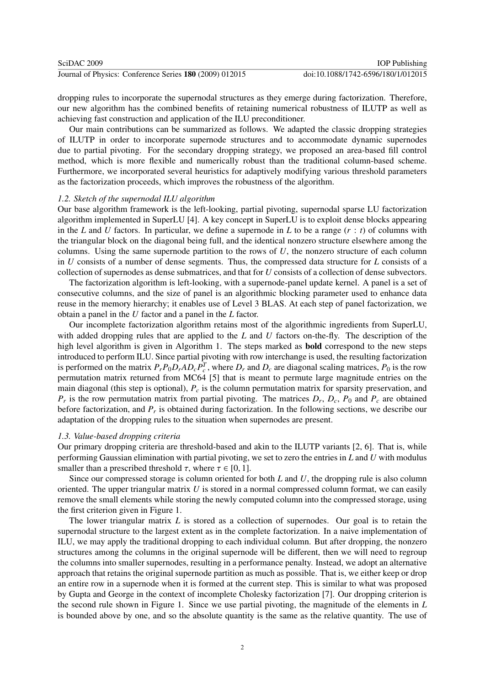| SciDAC 2009                                             | <b>IOP</b> Publishing              |
|---------------------------------------------------------|------------------------------------|
| Journal of Physics: Conference Series 180 (2009) 012015 | doi:10.1088/1742-6596/180/1/012015 |

dropping rules to incorporate the supernodal structures as they emerge during factorization. Therefore, our new algorithm has the combined benefits of retaining numerical robustness of ILUTP as well as achieving fast construction and application of the ILU preconditioner.

Our main contributions can be summarized as follows. We adapted the classic dropping strategies of ILUTP in order to incorporate supernode structures and to accommodate dynamic supernodes due to partial pivoting. For the secondary dropping strategy, we proposed an area-based fill control method, which is more flexible and numerically robust than the traditional column-based scheme. Furthermore, we incorporated several heuristics for adaptively modifying various threshold parameters as the factorization proceeds, which improves the robustness of the algorithm.

## *1.2. Sketch of the supernodal ILU algorithm*

Our base algorithm framework is the left-looking, partial pivoting, supernodal sparse LU factorization algorithm implemented in SuperLU [4]. A key concept in SuperLU is to exploit dense blocks appearing in the *L* and *U* factors. In particular, we define a supernode in *L* to be a range  $(r : t)$  of columns with the triangular block on the diagonal being full, and the identical nonzero structure elsewhere among the columns. Using the same supernode partition to the rows of *U*, the nonzero structure of each column in *U* consists of a number of dense segments. Thus, the compressed data structure for *L* consists of a collection of supernodes as dense submatrices, and that for *U* consists of a collection of dense subvectors.

The factorization algorithm is left-looking, with a supernode-panel update kernel. A panel is a set of consecutive columns, and the size of panel is an algorithmic blocking parameter used to enhance data reuse in the memory hierarchy; it enables use of Level 3 BLAS. At each step of panel factorization, we obtain a panel in the *U* factor and a panel in the *L* factor.

Our incomplete factorization algorithm retains most of the algorithmic ingredients from SuperLU, with added dropping rules that are applied to the *L* and *U* factors on-the-fly. The description of the high level algorithm is given in Algorithm 1. The steps marked as bold correspond to the new steps introduced to perform ILU. Since partial pivoting with row interchange is used, the resulting factorization is performed on the matrix  $P_rP_0D_rAD_cP_c^T$ , where  $D_r$  and  $D_c$  are diagonal scaling matrices,  $P_0$  is the row permutation matrix returned from MC64 [5] that is meant to permute large magnitude entries on the main diagonal (this step is optional), *P<sup>c</sup>* is the column permutation matrix for sparsity preservation, and  $P_r$  is the row permutation matrix from partial pivoting. The matrices  $D_r$ ,  $D_c$ ,  $P_0$  and  $P_c$  are obtained before factorization, and *P<sup>r</sup>* is obtained during factorization. In the following sections, we describe our adaptation of the dropping rules to the situation when supernodes are present.

## *1.3. Value-based dropping criteria*

Our primary dropping criteria are threshold-based and akin to the ILUTP variants [2, 6]. That is, while performing Gaussian elimination with partial pivoting, we set to zero the entries in *L* and *U* with modulus smaller than a prescribed threshold  $\tau$ , where  $\tau \in [0, 1]$ .

Since our compressed storage is column oriented for both *L* and *U*, the dropping rule is also column oriented. The upper triangular matrix *U* is stored in a normal compressed column format, we can easily remove the small elements while storing the newly computed column into the compressed storage, using the first criterion given in Figure 1.

The lower triangular matrix *L* is stored as a collection of supernodes. Our goal is to retain the supernodal structure to the largest extent as in the complete factorization. In a naive implementation of ILU, we may apply the traditional dropping to each individual column. But after dropping, the nonzero structures among the columns in the original supernode will be different, then we will need to regroup the columns into smaller supernodes, resulting in a performance penalty. Instead, we adopt an alternative approach that retains the original supernode partition as much as possible. That is, we either keep or drop an entire row in a supernode when it is formed at the current step. This is similar to what was proposed by Gupta and George in the context of incomplete Cholesky factorization [7]. Our dropping criterion is the second rule shown in Figure 1. Since we use partial pivoting, the magnitude of the elements in *L* is bounded above by one, and so the absolute quantity is the same as the relative quantity. The use of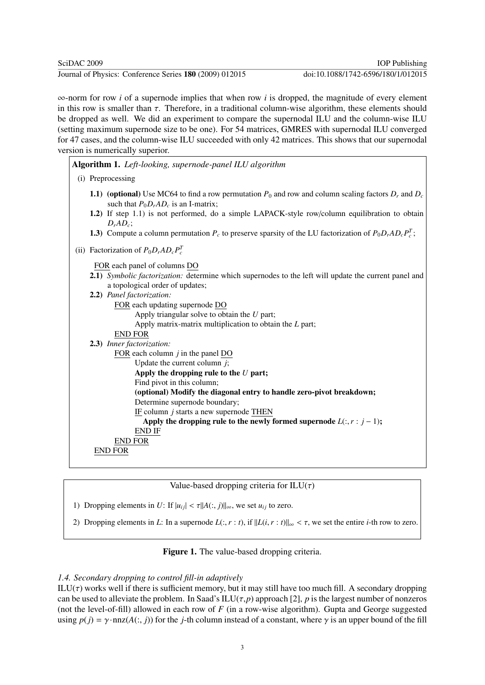∞-norm for row *i* of a supernode implies that when row *i* is dropped, the magnitude of every element in this row is smaller than  $\tau$ . Therefore, in a traditional column-wise algorithm, these elements should be dropped as well. We did an experiment to compare the supernodal ILU and the column-wise ILU (setting maximum supernode size to be one). For 54 matrices, GMRES with supernodal ILU converged for 47 cases, and the column-wise ILU succeeded with only 42 matrices. This shows that our supernodal version is numerically superior.

| Algorithm 1. Left-looking, supernode-panel ILU algorithm                                                                                                                                                                                                                                                                                                                                                                                                                                                                                                                                                                                                                                                                                                                                                                                               |
|--------------------------------------------------------------------------------------------------------------------------------------------------------------------------------------------------------------------------------------------------------------------------------------------------------------------------------------------------------------------------------------------------------------------------------------------------------------------------------------------------------------------------------------------------------------------------------------------------------------------------------------------------------------------------------------------------------------------------------------------------------------------------------------------------------------------------------------------------------|
| (i) Preprocessing                                                                                                                                                                                                                                                                                                                                                                                                                                                                                                                                                                                                                                                                                                                                                                                                                                      |
| 1.1) (optional) Use MC64 to find a row permutation $P_0$ and row and column scaling factors $D_r$ and $D_c$<br>such that $P_0D_rAD_c$ is an I-matrix;<br>1.2) If step 1.1) is not performed, do a simple LAPACK-style row/column equilibration to obtain<br>$D_rAD_c;$<br>1.3) Compute a column permutation $P_c$ to preserve sparsity of the LU factorization of $P_0D_rAD_cP_c^T$ ;                                                                                                                                                                                                                                                                                                                                                                                                                                                                  |
| (ii) Factorization of $P_0D_rAD_cP_c^T$                                                                                                                                                                                                                                                                                                                                                                                                                                                                                                                                                                                                                                                                                                                                                                                                                |
| FOR each panel of columns DO<br>2.1) Symbolic factorization: determine which supernodes to the left will update the current panel and<br>a topological order of updates;<br>2.2) Panel factorization:<br>FOR each updating supernode DO<br>Apply triangular solve to obtain the $U$ part;<br>Apply matrix-matrix multiplication to obtain the $L$ part;<br><b>END FOR</b><br>2.3) Inner factorization:<br>FOR each column $j$ in the panel $\underline{DO}$<br>Update the current column $j$ ;<br>Apply the dropping rule to the $U$ part;<br>Find pivot in this column;<br>(optional) Modify the diagonal entry to handle zero-pivot breakdown;<br>Determine supernode boundary;<br>IF column $j$ starts a new supernode THEN<br>Apply the dropping rule to the newly formed supernode $L(:, r : j-1);$<br>END IF<br><b>END FOR</b><br><b>END FOR</b> |
|                                                                                                                                                                                                                                                                                                                                                                                                                                                                                                                                                                                                                                                                                                                                                                                                                                                        |

# Value-based dropping criteria for  $ILU(\tau)$

1) Dropping elements in *U*: If  $|u_{ij}| < \tau ||A(:, j)||_{\infty}$ , we set  $u_{ij}$  to zero.

2) Dropping elements in *L*: In a supernode  $L(:,r:t)$ , if  $||L(i, r:t)||_{\infty} < \tau$ , we set the entire *i*-th row to zero.

Figure 1. The value-based dropping criteria.

## *1.4. Secondary dropping to control fill-in adaptively*

ILU( $\tau$ ) works well if there is sufficient memory, but it may still have too much fill. A secondary dropping can be used to alleviate the problem. In Saad's  $ILU(\tau,p)$  approach [2], *p* is the largest number of nonzeros (not the level-of-fill) allowed in each row of *F* (in a row-wise algorithm). Gupta and George suggested using  $p(j) = \gamma \cdot \text{nnz}(A(:, j))$  for the *j*-th column instead of a constant, where  $\gamma$  is an upper bound of the fill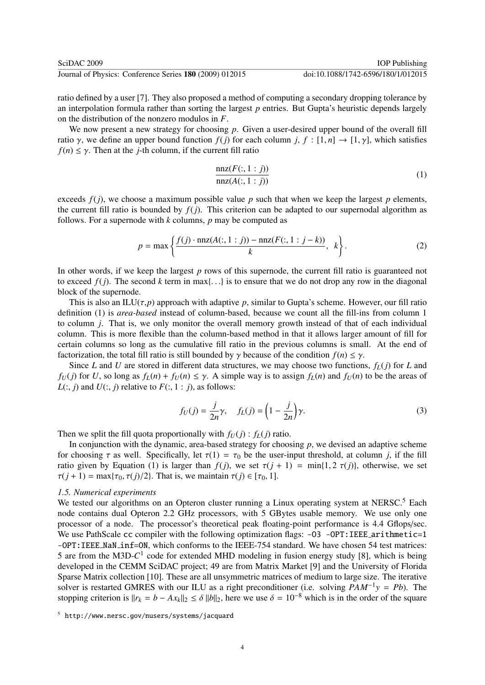ratio defined by a user [7]. They also proposed a method of computing a secondary dropping tolerance by

an interpolation formula rather than sorting the largest *p* entries. But Gupta's heuristic depends largely on the distribution of the nonzero modulos in *F*.

We now present a new strategy for choosing *p*. Given a user-desired upper bound of the overall fill ratio  $\gamma$ , we define an upper bound function  $f(j)$  for each column *j*,  $f : [1, n] \rightarrow [1, \gamma]$ , which satisfies  $f(n) \leq \gamma$ . Then at the *j*-th column, if the current fill ratio

$$
\frac{\operatorname{nnz}(F(:,1:j))}{\operatorname{nnz}(A(:,1:j))}
$$
 (1)

exceeds  $f(j)$ , we choose a maximum possible value  $p$  such that when we keep the largest  $p$  elements, the current fill ratio is bounded by  $f(j)$ . This criterion can be adapted to our supernodal algorithm as follows. For a supernode with *k* columns, *p* may be computed as

$$
p = \max\left\{\frac{f(j) \cdot \max(A(:, 1:j)) - \max(F(:, 1:j - k))}{k}, k\right\}.
$$
 (2)

In other words, if we keep the largest *p* rows of this supernode, the current fill ratio is guaranteed not to exceed  $f(j)$ . The second *k* term in max{ $\ldots$ } is to ensure that we do not drop any row in the diagonal block of the supernode.

This is also an ILU( $\tau$ , *p*) approach with adaptive *p*, similar to Gupta's scheme. However, our fill ratio definition (1) is *area-based* instead of column-based, because we count all the fill-ins from column 1 to column *j*. That is, we only monitor the overall memory growth instead of that of each individual column. This is more flexible than the column-based method in that it allows larger amount of fill for certain columns so long as the cumulative fill ratio in the previous columns is small. At the end of factorization, the total fill ratio is still bounded by  $\gamma$  because of the condition  $f(n) \leq \gamma$ .

Since *L* and *U* are stored in different data structures, we may choose two functions, *fL*(*j*) for *L* and *f*<sub>U</sub>(*j*) for *U*, so long as  $f_L(n) + f_U(n) \leq \gamma$ . A simple way is to assign  $f_L(n)$  and  $f_U(n)$  to be the areas of  $L(:, j)$  and  $U(:, j)$  relative to  $F(:, 1:j)$ , as follows:

$$
f_U(j) = \frac{j}{2n}\gamma, \quad f_L(j) = \left(1 - \frac{j}{2n}\right)\gamma.
$$
 (3)

Then we split the fill quota proportionally with  $f_U(j)$ :  $f_L(j)$  ratio.

In conjunction with the dynamic, area-based strategy for choosing *p*, we devised an adaptive scheme for choosing  $\tau$  as well. Specifically, let  $\tau(1) = \tau_0$  be the user-input threshold, at column *j*, if the fill ratio given by Equation (1) is larger than  $f(j)$ , we set  $\tau(j + 1) = \min\{1, 2 \tau(j)\}\)$ , otherwise, we set  $\tau(j + 1) = \max{\tau_0, \tau(j)/2}$ . That is, we maintain  $\tau(j) \in [\tau_0, 1]$ .

## *1.5. Numerical experiments*

We tested our algorithms on an Opteron cluster running a Linux operating system at NERSC.<sup>5</sup> Each node contains dual Opteron 2.2 GHz processors, with 5 GBytes usable memory. We use only one processor of a node. The processor's theoretical peak floating-point performance is 4.4 Gflops/sec. We use PathScale cc compiler with the following optimization flags: -03 -0PT:IEEE\_arithmetic=1 -OPT:IEEE NaN inf=ON, which conforms to the IEEE-754 standard. We have chosen 54 test matrices: 5 are from the M3D-*C* 1 code for extended MHD modeling in fusion energy study [8], which is being developed in the CEMM SciDAC project; 49 are from Matrix Market [9] and the University of Florida Sparse Matrix collection [10]. These are all unsymmetric matrices of medium to large size. The iterative solver is restarted GMRES with our ILU as a right preconditioner (i.e. solving *PAM*−<sup>1</sup> *y* = *Pb*). The stopping criterion is  $||r_k = b - Ax_k||_2 \le \delta ||b||_2$ , here we use  $\delta = 10^{-8}$  which is in the order of the square

<sup>5</sup> http://www.nersc.gov/nusers/systems/jacquard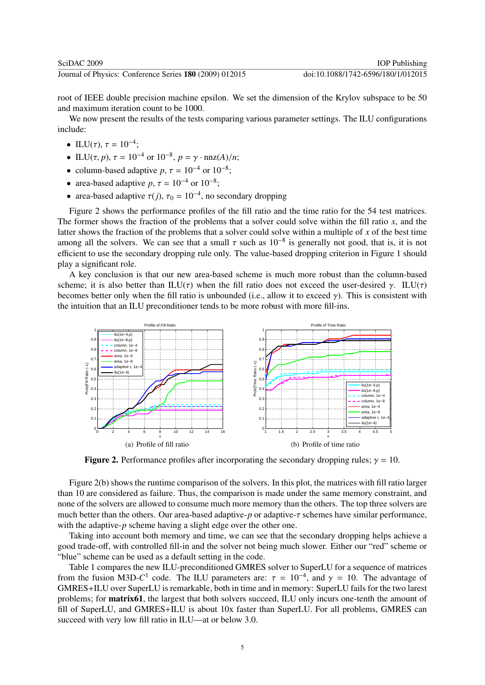root of IEEE double precision machine epsilon. We set the dimension of the Krylov subspace to be 50 and maximum iteration count to be 1000.

We now present the results of the tests comparing various parameter settings. The ILU configurations include:

- ILU(τ),  $\tau = 10^{-4}$ ;
- ILU( $\tau$ ,  $p$ ),  $\tau = 10^{-4}$  or  $10^{-8}$ ,  $p = \gamma \cdot \text{nnz}(A)/n$ ;
- column-based adaptive  $p, \tau = 10^{-4}$  or  $10^{-8}$ ;<br>g agree heart adaptive  $p, \tau = 10^{-4}$  or  $10^{-8}$ .
- area-based adaptive  $p, \tau = 10^{-4}$  or  $10^{-8}$ ;<br>i.e. area has adaptive  $p(x) = 10^{-4}$  and  $p(x)$
- area-based adaptive  $\tau(j)$ ,  $\tau_0 = 10^{-4}$ , no secondary dropping

Figure 2 shows the performance profiles of the fill ratio and the time ratio for the 54 test matrices. The former shows the fraction of the problems that a solver could solve within the fill ratio *x*, and the latter shows the fraction of the problems that a solver could solve within a multiple of *x* of the best time among all the solvers. We can see that a small  $\tau$  such as  $10^{-8}$  is generally not good, that is, it is not efficient to use the secondary dropping rule only. The value-based dropping criterion in Figure 1 should efficient to use the secondary dropping rule only. The value-based dropping criterion in Figure 1 should play a significant role.

A key conclusion is that our new area-based scheme is much more robust than the column-based scheme; it is also better than ILU( $\tau$ ) when the fill ratio does not exceed the user-desired  $\gamma$ . ILU( $\tau$ ) becomes better only when the fill ratio is unbounded (i.e., allow it to exceed  $\gamma$ ). This is consistent with the intuition that an ILU preconditioner tends to be more robust with more fill-ins.



**Figure 2.** Performance profiles after incorporating the secondary dropping rules;  $\gamma = 10$ .

Figure 2(b) shows the runtime comparison of the solvers. In this plot, the matrices with fill ratio larger than 10 are considered as failure. Thus, the comparison is made under the same memory constraint, and none of the solvers are allowed to consume much more memory than the others. The top three solvers are much better than the others. Our area-based adaptive-*<sup>p</sup>* or adaptive-τ schemes have similar performance, with the adaptive-*p* scheme having a slight edge over the other one.

Taking into account both memory and time, we can see that the secondary dropping helps achieve a good trade-off, with controlled fill-in and the solver not being much slower. Either our "red" scheme or "blue" scheme can be used as a default setting in the code.

Table 1 compares the new ILU-preconditioned GMRES solver to SuperLU for a sequence of matrices from the fusion M3D-*C*<sup>1</sup> code. The ILU parameters are:  $\tau = 10^{-4}$ , and  $\gamma = 10$ . The advantage of GMRFS+II U over SuperI II is remarkable, both in time and in memory: SuperI II fails for the two larest GMRES+ILU over SuperLU is remarkable, both in time and in memory: SuperLU fails for the two larest problems; for matrix61, the largest that both solvers succeed, ILU only incurs one-tenth the amount of fill of SuperLU, and GMRES+ILU is about 10x faster than SuperLU. For all problems, GMRES can succeed with very low fill ratio in ILU—at or below 3.0.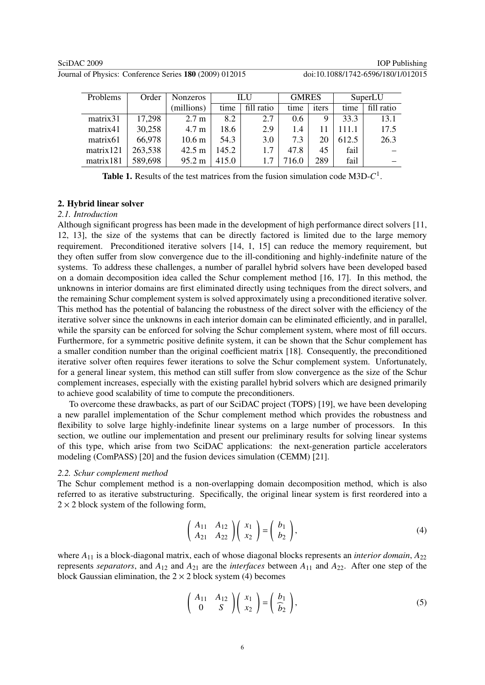| Problems             | Order   | Nonzeros          |       | ILU        | <b>GMRES</b> |       | SuperLU |            |
|----------------------|---------|-------------------|-------|------------|--------------|-------|---------|------------|
|                      |         | (millions)        | time  | fill ratio | time         | iters | time    | fill ratio |
| matrix31             | 17,298  | 2.7 <sub>m</sub>  | 8.2   | 2.7        | 0.6          | 9     | 33.3    | 13.1       |
| matrix41             | 30,258  | 4.7 <sub>m</sub>  | 18.6  | 2.9        | 1.4          | 11    | 11.1    | 17.5       |
| matrix <sub>61</sub> | 66,978  | 10.6 <sub>m</sub> | 54.3  | 3.0        | 7.3          | 20    | 612.5   | 26.3       |
| matrix 121           | 263,538 | $42.5 \text{ m}$  | 145.2 | 1.7        | 47.8         | 45    | fail    |            |
| matrix 181           | 589,698 | $95.2 \text{ m}$  | 415.0 |            | 716.0        | 289   | fail    |            |

Table 1. Results of the test matrices from the fusion simulation code M3D-*C* 1 .

# 2. Hybrid linear solver

## *2.1. Introduction*

Although significant progress has been made in the development of high performance direct solvers [11, 12, 13], the size of the systems that can be directly factored is limited due to the large memory requirement. Preconditioned iterative solvers [14, 1, 15] can reduce the memory requirement, but they often suffer from slow convergence due to the ill-conditioning and highly-indefinite nature of the systems. To address these challenges, a number of parallel hybrid solvers have been developed based on a domain decomposition idea called the Schur complement method [16, 17]. In this method, the unknowns in interior domains are first eliminated directly using techniques from the direct solvers, and the remaining Schur complement system is solved approximately using a preconditioned iterative solver. This method has the potential of balancing the robustness of the direct solver with the efficiency of the iterative solver since the unknowns in each interior domain can be eliminated efficiently, and in parallel, while the sparsity can be enforced for solving the Schur complement system, where most of fill occurs. Furthermore, for a symmetric positive definite system, it can be shown that the Schur complement has a smaller condition number than the original coefficient matrix [18]. Consequently, the preconditioned iterative solver often requires fewer iterations to solve the Schur complement system. Unfortunately, for a general linear system, this method can still suffer from slow convergence as the size of the Schur complement increases, especially with the existing parallel hybrid solvers which are designed primarily to achieve good scalability of time to compute the preconditioners.

To overcome these drawbacks, as part of our SciDAC project (TOPS) [19], we have been developing a new parallel implementation of the Schur complement method which provides the robustness and flexibility to solve large highly-indefinite linear systems on a large number of processors. In this section, we outline our implementation and present our preliminary results for solving linear systems of this type, which arise from two SciDAC applications: the next-generation particle accelerators modeling (ComPASS) [20] and the fusion devices simulation (CEMM) [21].

## *2.2. Schur complement method*

The Schur complement method is a non-overlapping domain decomposition method, which is also referred to as iterative substructuring. Specifically, the original linear system is first reordered into a  $2 \times 2$  block system of the following form,

$$
\begin{pmatrix} A_{11} & A_{12} \\ A_{21} & A_{22} \end{pmatrix} \begin{pmatrix} x_1 \\ x_2 \end{pmatrix} = \begin{pmatrix} b_1 \\ b_2 \end{pmatrix},
$$
 (4)

where *A*<sup>11</sup> is a block-diagonal matrix, each of whose diagonal blocks represents an *interior domain*, *A*<sup>22</sup> represents *separators*, and *A*<sup>12</sup> and *A*<sup>21</sup> are the *interfaces* between *A*<sup>11</sup> and *A*22. After one step of the block Gaussian elimination, the  $2 \times 2$  block system (4) becomes

$$
\begin{pmatrix} A_{11} & A_{12} \\ 0 & S \end{pmatrix} \begin{pmatrix} x_1 \\ x_2 \end{pmatrix} = \begin{pmatrix} b_1 \\ \widehat{b}_2 \end{pmatrix},
$$
 (5)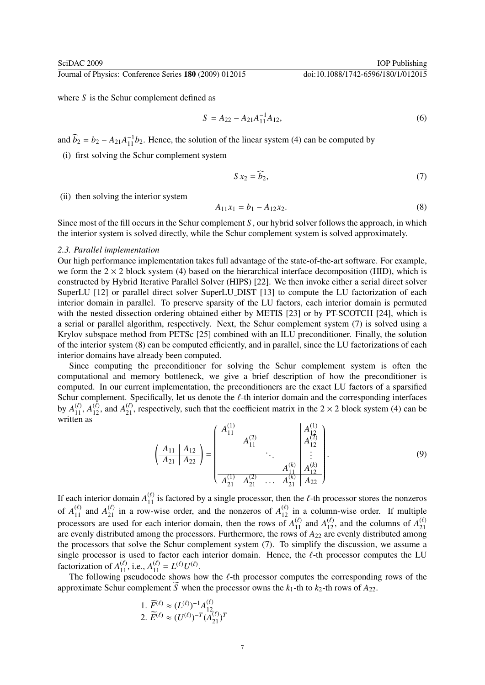where *S* is the Schur complement defined as

$$
S = A_{22} - A_{21}A_{11}^{-1}A_{12},
$$
\n(6)

and  $\hat{b}_2 = b_2 - A_{21}A_{11}^{-1}b_2$ . Hence, the solution of the linear system (4) can be computed by

(i) first solving the Schur complement system

$$
S x_2 = \widehat{b}_2, \tag{7}
$$

(ii) then solving the interior system

$$
A_{11}x_1 = b_1 - A_{12}x_2. \tag{8}
$$

Since most of the fill occurs in the Schur complement *S* , our hybrid solver follows the approach, in which the interior system is solved directly, while the Schur complement system is solved approximately.

#### *2.3. Parallel implementation*

Our high performance implementation takes full advantage of the state-of-the-art software. For example, we form the  $2 \times 2$  block system (4) based on the hierarchical interface decomposition (HID), which is constructed by Hybrid Iterative Parallel Solver (HIPS) [22]. We then invoke either a serial direct solver SuperLU [12] or parallel direct solver SuperLU DIST [13] to compute the LU factorization of each interior domain in parallel. To preserve sparsity of the LU factors, each interior domain is permuted with the nested dissection ordering obtained either by METIS [23] or by PT-SCOTCH [24], which is a serial or parallel algorithm, respectively. Next, the Schur complement system (7) is solved using a Krylov subspace method from PETSc [25] combined with an ILU preconditioner. Finally, the solution of the interior system (8) can be computed efficiently, and in parallel, since the LU factorizations of each interior domains have already been computed.

Since computing the preconditioner for solving the Schur complement system is often the computational and memory bottleneck, we give a brief description of how the preconditioner is computed. In our current implementation, the preconditioners are the exact LU factors of a sparsified Schur complement. Specifically, let us denote the  $\ell$ -th interior domain and the corresponding interfaces<br>by  $A_{11}^{(\ell)}$ ,  $A_{12}^{(\ell)}$ , and  $A_{21}^{(\ell)}$ , respectively, such that the coefficient matrix in the 2 × 2 block sy written as

$$
\left(\frac{A_{11}}{A_{21}}\middle|\frac{A_{12}}{A_{22}}\right) = \begin{pmatrix} A_{11}^{(1)} & & & A_{12}^{(1)} \\ & A_{11}^{(2)} & & & A_{12}^{(2)} \\ & & \ddots & & \vdots \\ & & & A_{11}^{(k)} & A_{12}^{(k)} \\ \hline A_{21}^{(1)} & A_{21}^{(2)} & \cdots & A_{21}^{(k)} & A_{22}^{(k)} \end{pmatrix}.
$$
\n(9)

If each interior domain  $A_{11}^{(\ell)}$  is factored by a single processor, then the  $\ell$ -th processor stores the nonzeros of  $A_{11}^{(\ell)}$  and  $A_{21}^{(\ell)}$  in a row-wise order, and the nonzeros of  $A_{12}^{(\ell)}$  in a column-wise or processors are used for each interior domain, then the rows of  $A_{11}^{(\ell)}$  and  $A_{12}^{(\ell)}$ , and the columns of  $A_{21}^{(\ell)}$  are evenly distributed among the processors. Furthermore, the rows of  $A_{22}$  are evenly distribut the processors that solve the Schur complement system (7). To simplify the discussion, we assume a single processor is used to factor each interior domain. Hence, the  $\ell$ -th processor computes the LU factorization of  $A_{11}^{(\ell)}$ , i.e.,  $A_{11}^{(\ell)} = L^{(\ell)}U^{(\ell)}$ .

The following pseudocode shows how the  $\ell$ -th processor computes the corresponding rows of the approximate Schur complement  $\overline{S}$  when the processor owns the  $k_1$ -th to  $k_2$ -th rows of  $A_{22}$ .

1. 
$$
\widetilde{F}^{(\ell)} \approx (L^{(\ell)})^{-1} A_{12}^{(\ell)}
$$
  
2.  $\widetilde{E}^{(\ell)} \approx (U^{(\ell)})^{-T} (A_{21}^{(\ell)})^T$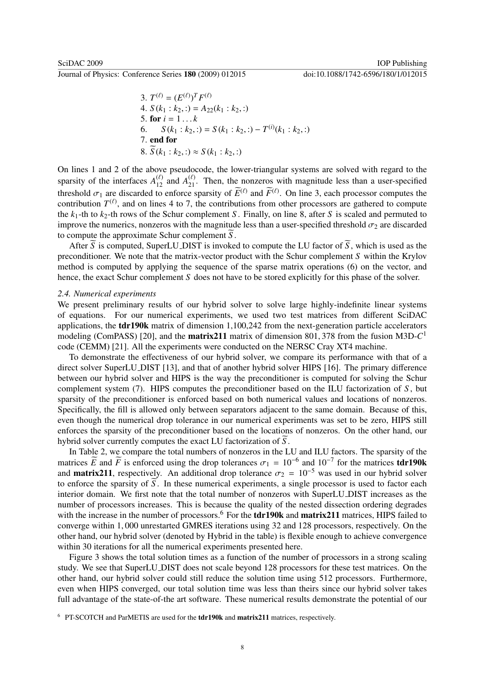3. 
$$
T^{(\ell)} = (E^{(\ell)})^T F^{(\ell)}
$$
  
\n4.  $S(k_1 : k_2, :) = A_{22}(k_1 : k_2, :)$   
\n5. **for**  $i = 1...k$   
\n6.  $S(k_1 : k_2, :) = S(k_1 : k_2, :) - T^{(i)}(k_1 : k_2, :)$   
\n7. **end for**  
\n8.  $\widetilde{S}(k_1 : k_2, :) \approx S(k_1 : k_2, :)$ 

On lines 1 and 2 of the above pseudocode, the lower-triangular systems are solved with regard to the sparsity of the interfaces  $A_{12}^{(\ell)}$  and  $A_{21}^{(\ell)}$ . Then, the nonzeros with magnitude less than a user-specified threshold  $\sigma_1$  are discarded to enforce sparsity of  $\overline{E}^{(\ell)}$  and  $\overline{F}^{(\ell)}$ . On line 3, each processor computes the contribution  $T^{(\ell)}$  and on lines 4 to 7 the contributions from other processors are gathered to contribution  $T^{(\ell)}$ , and on lines 4 to 7, the contributions from other processors are gathered to compute the *k*1-th to *k*2-th rows of the Schur complement *S* . Finally, on line 8, after *S* is scaled and permuted to improve the numerics, nonzeros with the magnitude less than a user-specified threshold  $\sigma_2$  are discarded to compute the approximate Schur complement *S*.

After  $\tilde{S}$  is computed, SuperLU DIST is invoked to compute the LU factor of  $\tilde{S}$ , which is used as the preconditioner. We note that the matrix-vector product with the Schur complement *S* within the Krylov method is computed by applying the sequence of the sparse matrix operations (6) on the vector, and hence, the exact Schur complement *S* does not have to be stored explicitly for this phase of the solver.

#### *2.4. Numerical experiments*

We present preliminary results of our hybrid solver to solve large highly-indefinite linear systems of equations. For our numerical experiments, we used two test matrices from different SciDAC applications, the tdr190k matrix of dimension 1,100,242 from the next-generation particle accelerators modeling (ComPASS) [20], and the **matrix211** matrix of dimension 801, 378 from the fusion M3D-*C*<sup>1</sup><br>code (CEMM) [21] All the experiments were conducted on the NERSC Cray XT4 machine code (CEMM) [21]. All the experiments were conducted on the NERSC Cray XT4 machine.

To demonstrate the effectiveness of our hybrid solver, we compare its performance with that of a direct solver SuperLU DIST [13], and that of another hybrid solver HIPS [16]. The primary difference between our hybrid solver and HIPS is the way the preconditioner is computed for solving the Schur complement system (7). HIPS computes the preconditioner based on the ILU factorization of *S* , but sparsity of the preconditioner is enforced based on both numerical values and locations of nonzeros. Specifically, the fill is allowed only between separators adjacent to the same domain. Because of this, even though the numerical drop tolerance in our numerical experiments was set to be zero, HIPS still enforces the sparsity of the preconditioner based on the locations of nonzeros. On the other hand, our hybrid solver currently computes the exact LU factorization of  $\overline{S}$ .

In Table 2, we compare the total numbers of nonzeros in the LU and ILU factors. The sparsity of the matrices  $\widetilde{E}$  and  $\widetilde{F}$  is enforced using the drop tolerances  $\sigma_1 = 10^{-6}$  and  $10^{-7}$  for the matrices **tdr190k**<br>and **matrix211** respectively. An additional drop tolerance  $\sigma_2 = 10^{-5}$  was used in our bybrid s and **matrix211**, respectively. An additional drop tolerance  $\sigma_2 = 10^{-5}$  was used in our hybrid solver to enforce the sparsity of  $\tilde{S}$ . In these numerical experiments, a single processor is used to factor each interior domain. We first note that the total number of nonzeros with SuperLU DIST increases as the number of processors increases. This is because the quality of the nested dissection ordering degrades with the increase in the number of processors.<sup>6</sup> For the **tdr190k** and **matrix211** matrices, HIPS failed to converge within 1, 000 unrestarted GMRES iterations using 32 and 128 processors, respectively. On the other hand, our hybrid solver (denoted by Hybrid in the table) is flexible enough to achieve convergence within 30 iterations for all the numerical experiments presented here.

Figure 3 shows the total solution times as a function of the number of processors in a strong scaling study. We see that SuperLU DIST does not scale beyond 128 processors for these test matrices. On the other hand, our hybrid solver could still reduce the solution time using 512 processors. Furthermore, even when HIPS converged, our total solution time was less than theirs since our hybrid solver takes full advantage of the state-of-the art software. These numerical results demonstrate the potential of our

<sup>&</sup>lt;sup>6</sup> PT-SCOTCH and ParMETIS are used for the tdr190k and matrix211 matrices, respectively.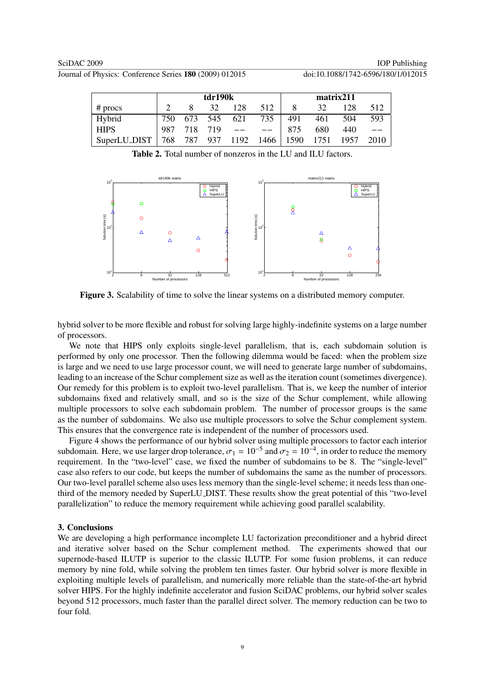|                                                        | tdr190k |  |    |                 | matrix211 |     |     |     |     |
|--------------------------------------------------------|---------|--|----|-----------------|-----------|-----|-----|-----|-----|
| $#$ procs                                              |         |  | 32 | 128             | 512       | 8   | 32  | 128 | 512 |
| Hybrid                                                 |         |  |    | 750 673 545 621 | 735   491 |     | 461 | 504 | 593 |
| <b>HIPS</b>                                            |         |  |    | 987 718 719 --  |           | 875 | 680 | 440 |     |
| SuperLU_DIST 768 787 937 1192 1466 1590 1751 1957 2010 |         |  |    |                 |           |     |     |     |     |

Table 2. Total number of nonzeros in the LU and ILU factors.



Figure 3. Scalability of time to solve the linear systems on a distributed memory computer.

hybrid solver to be more flexible and robust for solving large highly-indefinite systems on a large number of processors.

We note that HIPS only exploits single-level parallelism, that is, each subdomain solution is performed by only one processor. Then the following dilemma would be faced: when the problem size is large and we need to use large processor count, we will need to generate large number of subdomains, leading to an increase of the Schur complement size as well as the iteration count (sometimes divergence). Our remedy for this problem is to exploit two-level parallelism. That is, we keep the number of interior subdomains fixed and relatively small, and so is the size of the Schur complement, while allowing multiple processors to solve each subdomain problem. The number of processor groups is the same as the number of subdomains. We also use multiple processors to solve the Schur complement system. This ensures that the convergence rate is independent of the number of processors used.

Figure 4 shows the performance of our hybrid solver using multiple processors to factor each interior subdomain. Here, we use larger drop tolerance,  $\sigma_1 = 10^{-5}$  and  $\sigma_2 = 10^{-4}$ , in order to reduce the memory requirement. In the "two-level" case, we fixed the number of subdomains to be 8. The "single-level" requirement. In the "two-level" case, we fixed the number of subdomains to be 8. The "single-level" case also refers to our code, but keeps the number of subdomains the same as the number of processors. Our two-level parallel scheme also uses less memory than the single-level scheme; it needs less than onethird of the memory needed by SuperLU DIST. These results show the great potential of this "two-level parallelization" to reduce the memory requirement while achieving good parallel scalability.

## 3. Conclusions

We are developing a high performance incomplete LU factorization preconditioner and a hybrid direct and iterative solver based on the Schur complement method. The experiments showed that our supernode-based ILUTP is superior to the classic ILUTP. For some fusion problems, it can reduce memory by nine fold, while solving the problem ten times faster. Our hybrid solver is more flexible in exploiting multiple levels of parallelism, and numerically more reliable than the state-of-the-art hybrid solver HIPS. For the highly indefinite accelerator and fusion SciDAC problems, our hybrid solver scales beyond 512 processors, much faster than the parallel direct solver. The memory reduction can be two to four fold.